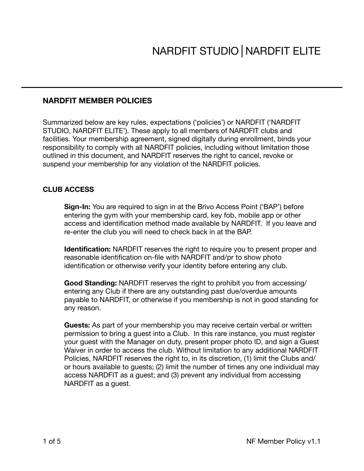# **NARDFIT MEMBER POLICIES**

Summarized below are key rules, expectations ('policies') or NARDFIT ('NARDFIT STUDIO, NARDFIT ELITE'). These apply to all members of NARDFIT clubs and facilities. Your membership agreement, signed digitally during enrollment, binds your responsibility to comply with all NARDFIT policies, including without limitation those outlined in this document, and NARDFIT reserves the right to cancel, revoke or suspend your membership for any violation of the NARDFIT policies.

# **CLUB ACCESS**

**Sign-In:** You are required to sign in at the Brivo Access Point ('BAP') before entering the gym with your membership card, key fob, mobile app or other access and identification method made available by NARDFIT. If you leave and re-enter the club you will need to check back in at the BAP.

**Identification:** NARDFIT reserves the right to require you to present proper and reasonable identification on-file with NARDFIT and/pr to show photo identification or otherwise verify your identity before entering any club.

**Good Standing:** NARDFIT reserves the right to prohibit you from accessing/ entering any Club if there are any outstanding past due/overdue amounts payable to NARDFIT, or otherwise if you membership is not in good standing for any reason.

**Guests:** As part of your membership you may receive certain verbal or written permission to bring a guest into a Club. In this rare instance, you must register your guest with the Manager on duty, present proper photo ID, and sign a Guest Waiver in order to access the club. Without limitation to any additional NARDFIT Policies, NARDFIT reserves the right to, in its discretion, (1) limit the Clubs and/ or hours available to guests; (2) limit the number of times any one individual may access NARDFIT as a guest; and (3) prevent any individual from accessing NARDFIT as a guest.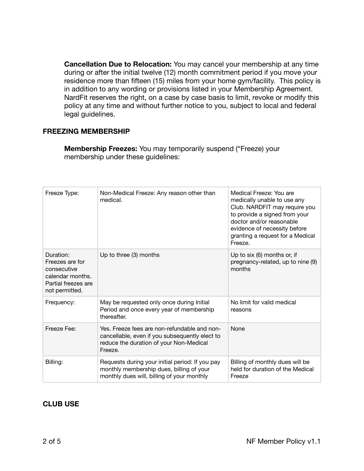**Cancellation Due to Relocation:** You may cancel your membership at any time during or after the initial twelve (12) month commitment period if you move your residence more than fifteen (15) miles from your home gym/facility. This policy is in addition to any wording or provisions listed in your Membership Agreement. NardFit reserves the right, on a case by case basis to limit, revoke or modify this policy at any time and without further notice to you, subject to local and federal legal guidelines.

### **FREEZING MEMBERSHIP**

**Membership Freezes:** You may temporarily suspend ("Freeze) your membership under these guidelines:

| Freeze Type:                                                                                             | Non-Medical Freeze: Any reason other than<br>medical.                                                                                                | Medical Freeze: You are<br>medically unable to use any<br>Club. NARDFIT may require you<br>to provide a signed from your<br>doctor and/or reasonable<br>evidence of necessity before<br>granting a request for a Medical<br>Freeze. |
|----------------------------------------------------------------------------------------------------------|------------------------------------------------------------------------------------------------------------------------------------------------------|-------------------------------------------------------------------------------------------------------------------------------------------------------------------------------------------------------------------------------------|
| Duration:<br>Freezes are for<br>consecutive<br>calendar months.<br>Partial freezes are<br>not permitted. | Up to three (3) months                                                                                                                               | Up to six (6) months or, if<br>pregnancy-related, up to nine (9)<br>months                                                                                                                                                          |
| Frequency:                                                                                               | May be requested only once during Initial<br>Period and once every year of membership<br>thereafter.                                                 | No limit for valid medical<br>reasons                                                                                                                                                                                               |
| Freeze Fee:                                                                                              | Yes. Freeze fees are non-refundable and non-<br>cancellable, even if you subsequently elect to<br>reduce the duration of your Non-Medical<br>Freeze. | None                                                                                                                                                                                                                                |
| Billing:                                                                                                 | Requests during your initial period: If you pay<br>monthly membership dues, billing of your<br>monthly dues will, billing of your monthly            | Billing of monthly dues will be<br>held for duration of the Medical<br>Freeze                                                                                                                                                       |

### **CLUB USE**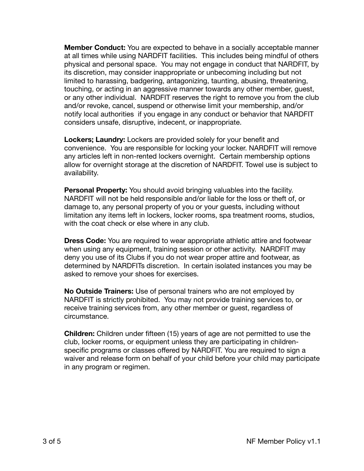**Member Conduct:** You are expected to behave in a socially acceptable manner at all times while using NARDFIT facilities. This includes being mindful of others physical and personal space. You may not engage in conduct that NARDFIT, by its discretion, may consider inappropriate or unbecoming including but not limited to harassing, badgering, antagonizing, taunting, abusing, threatening, touching, or acting in an aggressive manner towards any other member, guest, or any other individual. NARDFIT reserves the right to remove you from the club and/or revoke, cancel, suspend or otherwise limit your membership, and/or notify local authorities if you engage in any conduct or behavior that NARDFIT considers unsafe, disruptive, indecent, or inappropriate.

**Lockers; Laundry:** Lockers are provided solely for your benefit and convenience. You are responsible for locking your locker. NARDFIT will remove any articles left in non-rented lockers overnight. Certain membership options allow for overnight storage at the discretion of NARDFIT. Towel use is subject to availability.

**Personal Property:** You should avoid bringing valuables into the facility. NARDFIT will not be held responsible and/or liable for the loss or theft of, or damage to, any personal property of you or your guests, including without limitation any items left in lockers, locker rooms, spa treatment rooms, studios, with the coat check or else where in any club.

**Dress Code:** You are required to wear appropriate athletic attire and footwear when using any equipment, training session or other activity. NARDFIT may deny you use of its Clubs if you do not wear proper attire and footwear, as determined by NARDFITs discretion. In certain isolated instances you may be asked to remove your shoes for exercises.

**No Outside Trainers:** Use of personal trainers who are not employed by NARDFIT is strictly prohibited. You may not provide training services to, or receive training services from, any other member or guest, regardless of circumstance.

**Children:** Children under fifteen (15) years of age are not permitted to use the club, locker rooms, or equipment unless they are participating in childrenspecific programs or classes offered by NARDFIT. You are required to sign a waiver and release form on behalf of your child before your child may participate in any program or regimen.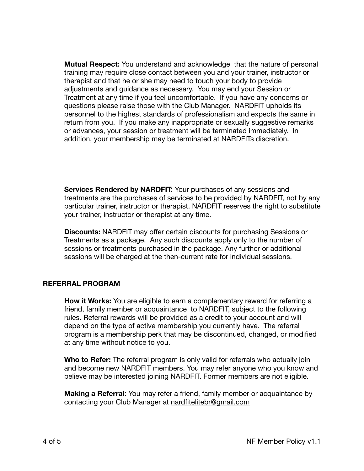**Mutual Respect:** You understand and acknowledge that the nature of personal training may require close contact between you and your trainer, instructor or therapist and that he or she may need to touch your body to provide adjustments and guidance as necessary. You may end your Session or Treatment at any time if you feel uncomfortable. If you have any concerns or questions please raise those with the Club Manager. NARDFIT upholds its personnel to the highest standards of professionalism and expects the same in return from you. If you make any inappropriate or sexually suggestive remarks or advances, your session or treatment will be terminated immediately. In addition, your membership may be terminated at NARDFITs discretion.

**Services Rendered by NARDFIT:** Your purchases of any sessions and treatments are the purchases of services to be provided by NARDFIT, not by any particular trainer, instructor or therapist. NARDFIT reserves the right to substitute your trainer, instructor or therapist at any time.

**Discounts:** NARDFIT may offer certain discounts for purchasing Sessions or Treatments as a package. Any such discounts apply only to the number of sessions or treatments purchased in the package. Any further or additional sessions will be charged at the then-current rate for individual sessions.

### **REFERRAL PROGRAM**

**How it Works:** You are eligible to earn a complementary reward for referring a friend, family member or acquaintance to NARDFIT, subject to the following rules. Referral rewards will be provided as a credit to your account and will depend on the type of active membership you currently have. The referral program is a membership perk that may be discontinued, changed, or modified at any time without notice to you.

**Who to Refer:** The referral program is only valid for referrals who actually join and become new NARDFIT members. You may refer anyone who you know and believe may be interested joining NARDFIT. Former members are not eligible.

**Making a Referral**: You may refer a friend, family member or acquaintance by contacting your Club Manager at [nardfitelitebr@gmail.com](mailto:nardfitelitebr@gmail.com)